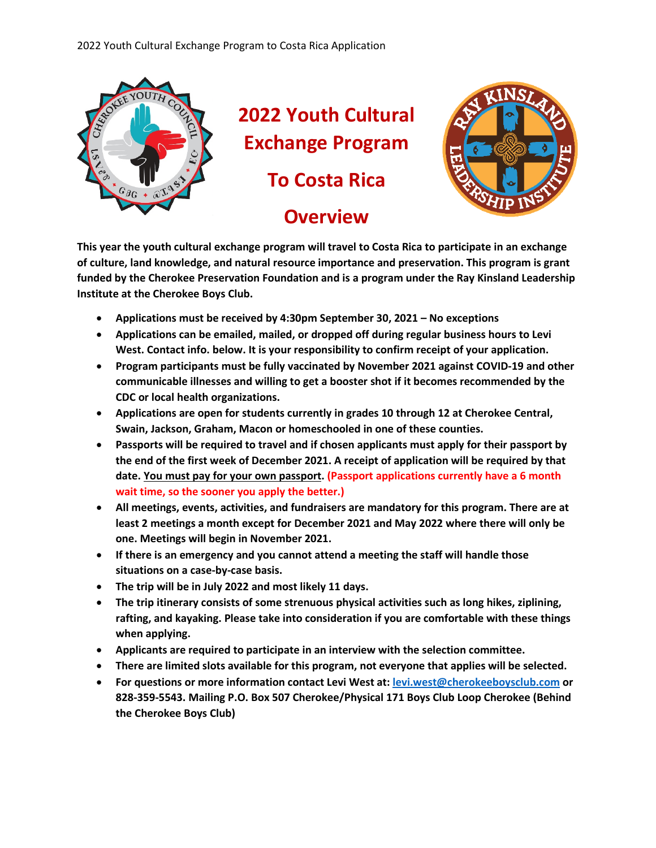

**2022 Youth Cultural Exchange Program To Costa Rica Overview**



**This year the youth cultural exchange program will travel to Costa Rica to participate in an exchange of culture, land knowledge, and natural resource importance and preservation. This program is grant funded by the Cherokee Preservation Foundation and is a program under the Ray Kinsland Leadership Institute at the Cherokee Boys Club.** 

- **Applications must be received by 4:30pm September 30, 2021 – No exceptions**
- **Applications can be emailed, mailed, or dropped off during regular business hours to Levi West. Contact info. below. It is your responsibility to confirm receipt of your application.**
- **Program participants must be fully vaccinated by November 2021 against COVID-19 and other communicable illnesses and willing to get a booster shot if it becomes recommended by the CDC or local health organizations.**
- **Applications are open for students currently in grades 10 through 12 at Cherokee Central, Swain, Jackson, Graham, Macon or homeschooled in one of these counties.**
- **Passports will be required to travel and if chosen applicants must apply for their passport by the end of the first week of December 2021. A receipt of application will be required by that date. You must pay for your own passport. (Passport applications currently have a 6 month wait time, so the sooner you apply the better.)**
- **All meetings, events, activities, and fundraisers are mandatory for this program. There are at least 2 meetings a month except for December 2021 and May 2022 where there will only be one. Meetings will begin in November 2021.**
- **If there is an emergency and you cannot attend a meeting the staff will handle those situations on a case-by-case basis.**
- **The trip will be in July 2022 and most likely 11 days.**
- **The trip itinerary consists of some strenuous physical activities such as long hikes, ziplining, rafting, and kayaking. Please take into consideration if you are comfortable with these things when applying.**
- **Applicants are required to participate in an interview with the selection committee.**
- **There are limited slots available for this program, not everyone that applies will be selected.**
- **For questions or more information contact Levi West at[: levi.west@cherokeeboysclub.com](mailto:levi.west@cherokeeboysclub.com) or 828-359-5543. Mailing P.O. Box 507 Cherokee/Physical 171 Boys Club Loop Cherokee (Behind the Cherokee Boys Club)**